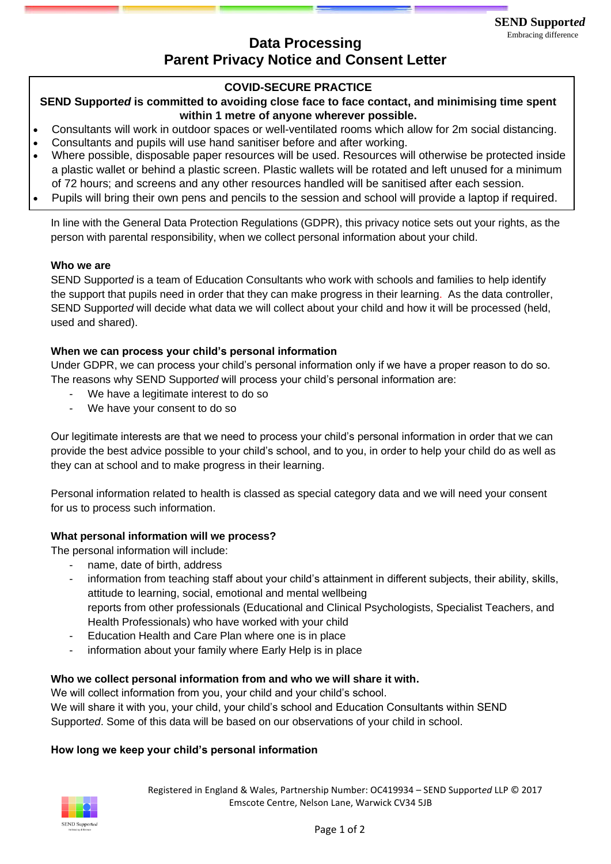# **Data Processing** Embracing difference **Parent Privacy Notice and Consent Letter**

## **COVID-SECURE PRACTICE**

**SEND Support***ed* **is committed to avoiding close face to face contact, and minimising time spent within 1 metre of anyone wherever possible.**

- Consultants will work in outdoor spaces or well-ventilated rooms which allow for 2m social distancing.
- Consultants and pupils will use hand sanitiser before and after working.
- Where possible, disposable paper resources will be used. Resources will otherwise be protected inside a plastic wallet or behind a plastic screen. Plastic wallets will be rotated and left unused for a minimum of 72 hours; and screens and any other resources handled will be sanitised after each session.
- Pupils will bring their own pens and pencils to the session and school will provide a laptop if required.

In line with the General Data Protection Regulations (GDPR), this privacy notice sets out your rights, as the person with parental responsibility, when we collect personal information about your child.

#### **Who we are**

SEND Support*ed* is a team of Education Consultants who work with schools and families to help identify the support that pupils need in order that they can make progress in their learning. As the data controller, SEND Support*ed* will decide what data we will collect about your child and how it will be processed (held, used and shared).

#### **When we can process your child's personal information**

Under GDPR, we can process your child's personal information only if we have a proper reason to do so. The reasons why SEND Support*ed* will process your child's personal information are:

- We have a legitimate interest to do so
- We have your consent to do so

Our legitimate interests are that we need to process your child's personal information in order that we can provide the best advice possible to your child's school, and to you, in order to help your child do as well as they can at school and to make progress in their learning.

Personal information related to health is classed as special category data and we will need your consent for us to process such information.

#### **What personal information will we process?**

The personal information will include:

- name, date of birth, address
- information from teaching staff about your child's attainment in different subjects, their ability, skills, attitude to learning, social, emotional and mental wellbeing reports from other professionals (Educational and Clinical Psychologists, Specialist Teachers, and Health Professionals) who have worked with your child
- Education Health and Care Plan where one is in place
- information about your family where Early Help is in place

#### **Who we collect personal information from and who we will share it with.**

We will collect information from you, your child and your child's school. We will share it with you, your child, your child's school and Education Consultants within SEND Support*ed*. Some of this data will be based on our observations of your child in school.

#### **How long we keep your child's personal information**